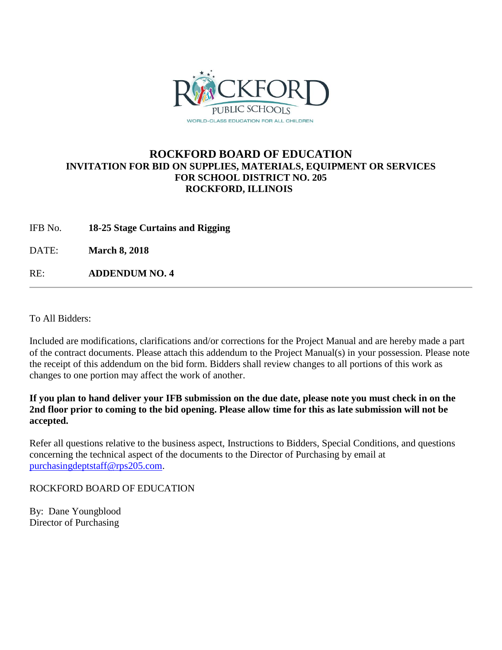

#### **ROCKFORD BOARD OF EDUCATION INVITATION FOR BID ON SUPPLIES, MATERIALS, EQUIPMENT OR SERVICES FOR SCHOOL DISTRICT NO. 205 ROCKFORD, ILLINOIS**

IFB No. **18-25 Stage Curtains and Rigging**

DATE: **March 8, 2018**

RE: **ADDENDUM NO. 4**

To All Bidders:

Included are modifications, clarifications and/or corrections for the Project Manual and are hereby made a part of the contract documents. Please attach this addendum to the Project Manual(s) in your possession. Please note the receipt of this addendum on the bid form. Bidders shall review changes to all portions of this work as changes to one portion may affect the work of another.

**If you plan to hand deliver your IFB submission on the due date, please note you must check in on the 2nd floor prior to coming to the bid opening. Please allow time for this as late submission will not be accepted.**

Refer all questions relative to the business aspect, Instructions to Bidders, Special Conditions, and questions concerning the technical aspect of the documents to the Director of Purchasing by email at [purchasingdeptstaff@rps205.com.](mailto:purchasingdeptstaff@rps205.com)

ROCKFORD BOARD OF EDUCATION

By: Dane Youngblood Director of Purchasing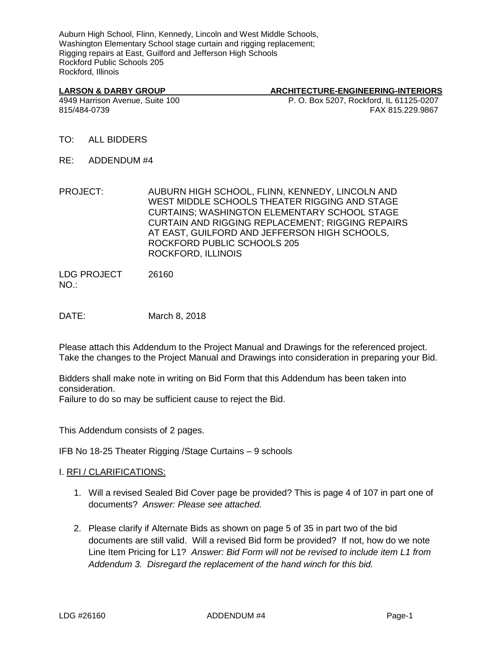Auburn High School, Flinn, Kennedy, Lincoln and West Middle Schools, Washington Elementary School stage curtain and rigging replacement; Rigging repairs at East, Guilford and Jefferson High Schools Rockford Public Schools 205 Rockford, Illinois

#### LARSON & DARBY GROUP **ARCHITECTURE-ENGINEERING-INTERIORS**

4949 Harrison Avenue, Suite 100 P. O. Box 5207, Rockford, IL 61125-0207 815/484-0739 FAX 815.229.9867

- TO: ALL BIDDERS
- RE: ADDENDUM #4
- PROJECT: AUBURN HIGH SCHOOL, FLINN, KENNEDY, LINCOLN AND WEST MIDDLE SCHOOLS THEATER RIGGING AND STAGE CURTAINS; WASHINGTON ELEMENTARY SCHOOL STAGE CURTAIN AND RIGGING REPLACEMENT; RIGGING REPAIRS AT EAST, GUILFORD AND JEFFERSON HIGH SCHOOLS, ROCKFORD PUBLIC SCHOOLS 205 ROCKFORD, ILLINOIS

LDG PROJECT NO.: 26160

DATE: March 8, 2018

Please attach this Addendum to the Project Manual and Drawings for the referenced project. Take the changes to the Project Manual and Drawings into consideration in preparing your Bid.

Bidders shall make note in writing on Bid Form that this Addendum has been taken into consideration.

Failure to do so may be sufficient cause to reject the Bid.

This Addendum consists of 2 pages.

IFB No 18-25 Theater Rigging /Stage Curtains – 9 schools

#### I. RFI / CLARIFICATIONS:

- 1. Will a revised Sealed Bid Cover page be provided? This is page 4 of 107 in part one of documents? *Answer: Please see attached.*
- 2. Please clarify if Alternate Bids as shown on page 5 of 35 in part two of the bid documents are still valid. Will a revised Bid form be provided? If not, how do we note Line Item Pricing for L1? *Answer: Bid Form will not be revised to include item L1 from Addendum 3. Disregard the replacement of the hand winch for this bid.*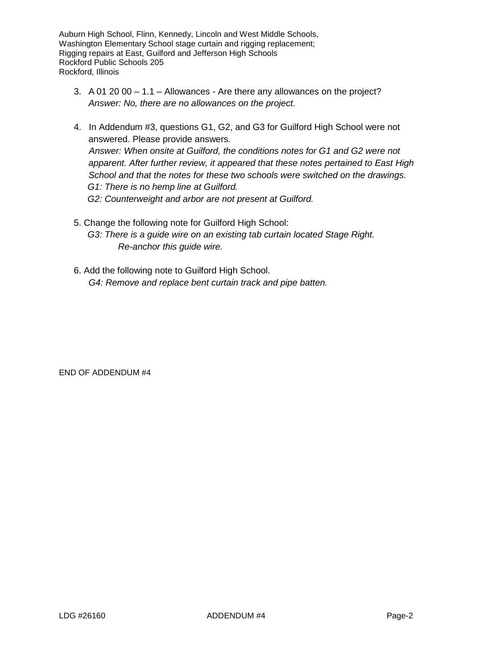Auburn High School, Flinn, Kennedy, Lincoln and West Middle Schools, Washington Elementary School stage curtain and rigging replacement; Rigging repairs at East, Guilford and Jefferson High Schools Rockford Public Schools 205 Rockford, Illinois

- 3.  $\overline{A}$  01 20 00 1.1 Allowances Are there any allowances on the project? *Answer: No, there are no allowances on the project.*
- 4. In Addendum #3, questions G1, G2, and G3 for Guilford High School were not answered. Please provide answers.  *Answer: When onsite at Guilford, the conditions notes for G1 and G2 were not apparent. After further review, it appeared that these notes pertained to East High School and that the notes for these two schools were switched on the drawings. G1: There is no hemp line at Guilford. G2: Counterweight and arbor are not present at Guilford.*
- 5. Change the following note for Guilford High School:  *G3: There is a guide wire on an existing tab curtain located Stage Right. Re-anchor this guide wire.*
- 6. Add the following note to Guilford High School. *G4: Remove and replace bent curtain track and pipe batten.*

END OF ADDENDUM #4